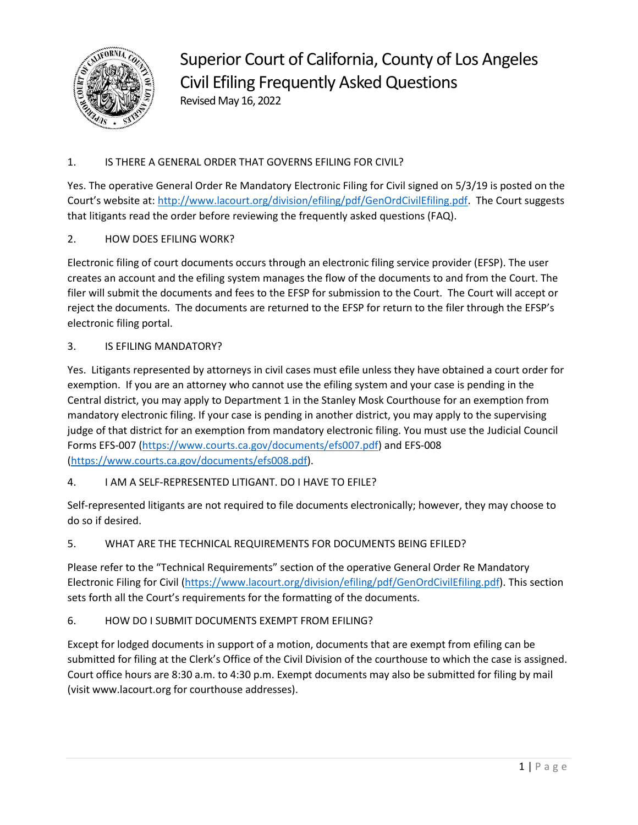

Superior Court of California, County of Los Angeles Civil Efiling Frequently Asked Questions Revised May 16, 2022

# 1. IS THERE A GENERAL ORDER THAT GOVERNS EFILING FOR CIVIL?

Yes. The operative General Order Re Mandatory Electronic Filing for Civil signed on 5/3/19 is posted on the Court's website at: [http://www.lacourt.org/division/efiling/pdf/GenOrdCivilEfiling.pdf.](http://www.lacourt.org/division/efiling/pdf/GenOrdCivilEfiling.pdf) The Court suggests that litigants read the order before reviewing the frequently asked questions (FAQ).

## 2. HOW DOES EFILING WORK?

Electronic filing of court documents occurs through an electronic filing service provider (EFSP). The user creates an account and the efiling system manages the flow of the documents to and from the Court. The filer will submit the documents and fees to the EFSP for submission to the Court. The Court will accept or reject the documents. The documents are returned to the EFSP for return to the filer through the EFSP's electronic filing portal.

## 3. IS EFILING MANDATORY?

Yes. Litigants represented by attorneys in civil cases must efile unless they have obtained a court order for exemption. If you are an attorney who cannot use the efiling system and your case is pending in the Central district, you may apply to Department 1 in the Stanley Mosk Courthouse for an exemption from mandatory electronic filing. If your case is pending in another district, you may apply to the supervising judge of that district for an exemption from mandatory electronic filing. You must use the Judicial Council Forms EFS-007 [\(https://www.courts.ca.gov/documents/efs007.pdf\)](https://www.courts.ca.gov/documents/efs007.pdf) and EFS-008 [\(https://www.courts.ca.gov/documents/efs008.pdf\)](https://www.courts.ca.gov/documents/efs008.pdf).

## 4. I AM A SELF-REPRESENTED LITIGANT. DO I HAVE TO EFILE?

Self-represented litigants are not required to file documents electronically; however, they may choose to do so if desired.

#### 5. WHAT ARE THE TECHNICAL REQUIREMENTS FOR DOCUMENTS BEING EFILED?

Please refer to the "Technical Requirements" section of the operative General Order Re Mandatory Electronic Filing for Civil [\(https://www.lacourt.org/division/efiling/pdf/GenOrdCivilEfiling.pdf\)](https://www.lacourt.org/division/efiling/pdf/GenOrdCivilEfiling.pdf). This section sets forth all the Court's requirements for the formatting of the documents.

#### 6. HOW DO I SUBMIT DOCUMENTS EXEMPT FROM EFILING?

Except for lodged documents in support of a motion, documents that are exempt from efiling can be submitted for filing at the Clerk's Office of the Civil Division of the courthouse to which the case is assigned. Court office hours are 8:30 a.m. to 4:30 p.m. Exempt documents may also be submitted for filing by mail (visit www.lacourt.org for courthouse addresses).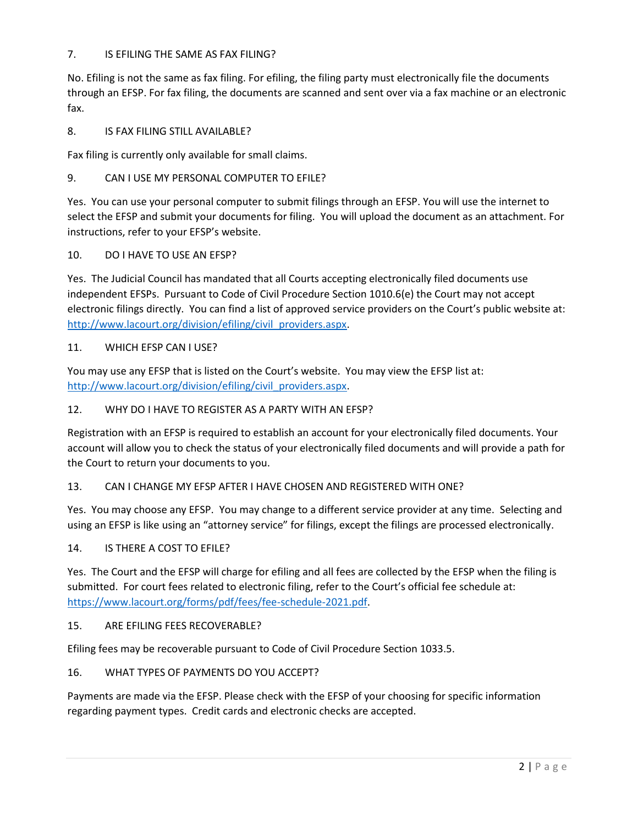### 7. IS EFILING THE SAME AS FAX FILING?

No. Efiling is not the same as fax filing. For efiling, the filing party must electronically file the documents through an EFSP. For fax filing, the documents are scanned and sent over via a fax machine or an electronic fax.

### 8. IS FAX FILING STILL AVAILABLE?

Fax filing is currently only available for small claims.

#### 9. CAN I USE MY PERSONAL COMPUTER TO EFILE?

Yes. You can use your personal computer to submit filings through an EFSP. You will use the internet to select the EFSP and submit your documents for filing. You will upload the document as an attachment. For instructions, refer to your EFSP's website.

#### 10. DO I HAVE TO USE AN EFSP?

Yes. The Judicial Council has mandated that all Courts accepting electronically filed documents use independent EFSPs. Pursuant to Code of Civil Procedure Section 1010.6(e) the Court may not accept electronic filings directly. You can find a list of approved service providers on the Court's public website at: [http://www.lacourt.org/division/efiling/civil\\_providers.aspx.](http://www.lacourt.org/division/efiling/civil_providers.aspx)

#### 11. WHICH EFSP CAN I USE?

You may use any EFSP that is listed on the Court's website. You may view the EFSP list at: [http://www.lacourt.org/division/efiling/civil\\_providers.aspx.](http://www.lacourt.org/division/efiling/civil_providers.aspx)

### 12. WHY DO I HAVE TO REGISTER AS A PARTY WITH AN EFSP?

Registration with an EFSP is required to establish an account for your electronically filed documents. Your account will allow you to check the status of your electronically filed documents and will provide a path for the Court to return your documents to you.

#### 13. CAN I CHANGE MY EFSP AFTER I HAVE CHOSEN AND REGISTERED WITH ONE?

Yes. You may choose any EFSP. You may change to a different service provider at any time. Selecting and using an EFSP is like using an "attorney service" for filings, except the filings are processed electronically.

#### 14. IS THERE A COST TO EFILE?

Yes. The Court and the EFSP will charge for efiling and all fees are collected by the EFSP when the filing is submitted. For court fees related to electronic filing, refer to the Court's official fee schedule at: [https://www.lacourt.org/forms/pdf/fees/fee-schedule-2021.pdf.](https://www.lacourt.org/forms/pdf/fees/fee-schedule-2021.pdf)

#### 15. ARE EFILING FEES RECOVERABLE?

Efiling fees may be recoverable pursuant to Code of Civil Procedure Section 1033.5.

#### 16. WHAT TYPES OF PAYMENTS DO YOU ACCEPT?

Payments are made via the EFSP. Please check with the EFSP of your choosing for specific information regarding payment types. Credit cards and electronic checks are accepted.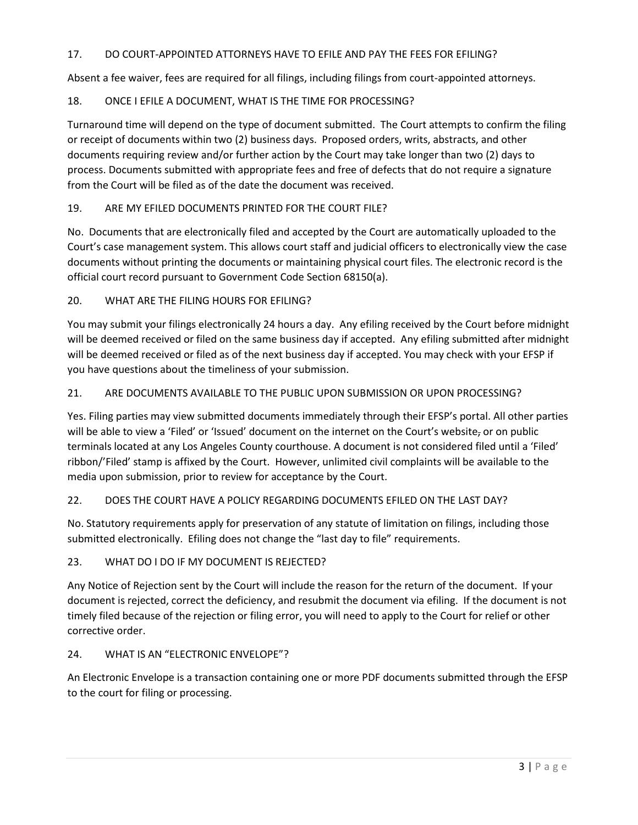# 17. DO COURT-APPOINTED ATTORNEYS HAVE TO EFILE AND PAY THE FEES FOR EFILING?

Absent a fee waiver, fees are required for all filings, including filings from court-appointed attorneys.

# 18. ONCE I EFILE A DOCUMENT, WHAT IS THE TIME FOR PROCESSING?

Turnaround time will depend on the type of document submitted. The Court attempts to confirm the filing or receipt of documents within two (2) business days. Proposed orders, writs, abstracts, and other documents requiring review and/or further action by the Court may take longer than two (2) days to process. Documents submitted with appropriate fees and free of defects that do not require a signature from the Court will be filed as of the date the document was received.

# 19. ARE MY EFILED DOCUMENTS PRINTED FOR THE COURT FILE?

No. Documents that are electronically filed and accepted by the Court are automatically uploaded to the Court's case management system. This allows court staff and judicial officers to electronically view the case documents without printing the documents or maintaining physical court files. The electronic record is the official court record pursuant to Government Code Section 68150(a).

20. WHAT ARE THE FILING HOURS FOR EFILING?

You may submit your filings electronically 24 hours a day. Any efiling received by the Court before midnight will be deemed received or filed on the same business day if accepted. Any efiling submitted after midnight will be deemed received or filed as of the next business day if accepted. You may check with your EFSP if you have questions about the timeliness of your submission.

# 21. ARE DOCUMENTS AVAILABLE TO THE PUBLIC UPON SUBMISSION OR UPON PROCESSING?

Yes. Filing parties may view submitted documents immediately through their EFSP's portal. All other parties will be able to view a 'Filed' or 'Issued' document on the internet on the Court's website, or on public terminals located at any Los Angeles County courthouse. A document is not considered filed until a 'Filed' ribbon/'Filed' stamp is affixed by the Court. However, unlimited civil complaints will be available to the media upon submission, prior to review for acceptance by the Court.

## 22. DOES THE COURT HAVE A POLICY REGARDING DOCUMENTS EFILED ON THE LAST DAY?

No. Statutory requirements apply for preservation of any statute of limitation on filings, including those submitted electronically. Efiling does not change the "last day to file" requirements.

## 23. WHAT DO I DO IF MY DOCUMENT IS REJECTED?

Any Notice of Rejection sent by the Court will include the reason for the return of the document. If your document is rejected, correct the deficiency, and resubmit the document via efiling. If the document is not timely filed because of the rejection or filing error, you will need to apply to the Court for relief or other corrective order.

## 24. WHAT IS AN "ELECTRONIC ENVELOPE"?

An Electronic Envelope is a transaction containing one or more PDF documents submitted through the EFSP to the court for filing or processing.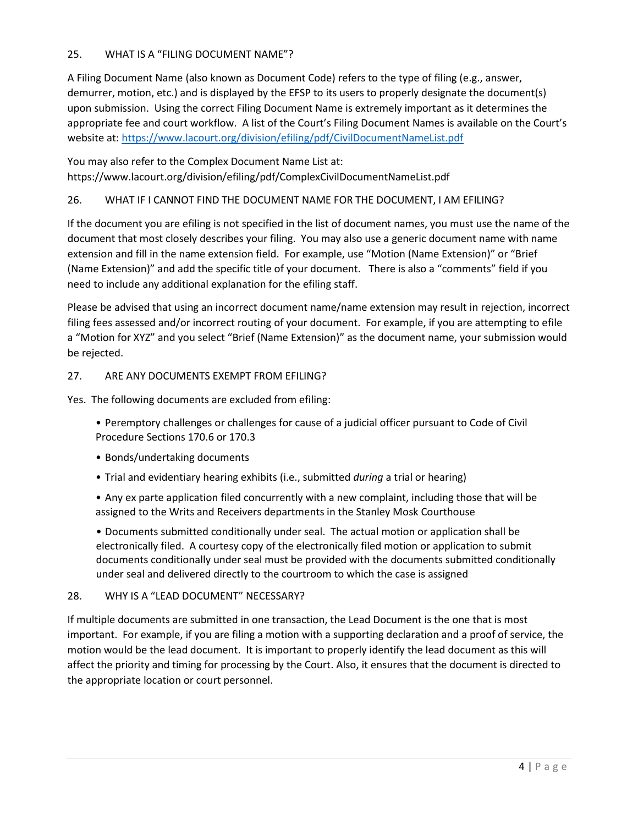### 25. WHAT IS A "FILING DOCUMENT NAME"?

A Filing Document Name (also known as Document Code) refers to the type of filing (e.g., answer, demurrer, motion, etc.) and is displayed by the EFSP to its users to properly designate the document(s) upon submission. Using the correct Filing Document Name is extremely important as it determines the appropriate fee and court workflow. A list of the Court's Filing Document Names is available on the Court's website at: <https://www.lacourt.org/division/efiling/pdf/CivilDocumentNameList.pdf>

You may also refer to the Complex Document Name List at: https://www.lacourt.org/division/efiling/pdf/ComplexCivilDocumentNameList.pdf

### 26. WHAT IF I CANNOT FIND THE DOCUMENT NAME FOR THE DOCUMENT, I AM EFILING?

If the document you are efiling is not specified in the list of document names, you must use the name of the document that most closely describes your filing. You may also use a generic document name with name extension and fill in the name extension field. For example, use "Motion (Name Extension)" or "Brief (Name Extension)" and add the specific title of your document. There is also a "comments" field if you need to include any additional explanation for the efiling staff.

Please be advised that using an incorrect document name/name extension may result in rejection, incorrect filing fees assessed and/or incorrect routing of your document. For example, if you are attempting to efile a "Motion for XYZ" and you select "Brief (Name Extension)" as the document name, your submission would be rejected.

#### 27. ARE ANY DOCUMENTS EXEMPT FROM EFILING?

Yes. The following documents are excluded from efiling:

- Peremptory challenges or challenges for cause of a judicial officer pursuant to Code of Civil Procedure Sections 170.6 or 170.3
- Bonds/undertaking documents
- Trial and evidentiary hearing exhibits (i.e., submitted *during* a trial or hearing)
- Any ex parte application filed concurrently with a new complaint, including those that will be assigned to the Writs and Receivers departments in the Stanley Mosk Courthouse

• Documents submitted conditionally under seal. The actual motion or application shall be electronically filed. A courtesy copy of the electronically filed motion or application to submit documents conditionally under seal must be provided with the documents submitted conditionally under seal and delivered directly to the courtroom to which the case is assigned

#### 28. WHY IS A "LEAD DOCUMENT" NECESSARY?

If multiple documents are submitted in one transaction, the Lead Document is the one that is most important. For example, if you are filing a motion with a supporting declaration and a proof of service, the motion would be the lead document. It is important to properly identify the lead document as this will affect the priority and timing for processing by the Court. Also, it ensures that the document is directed to the appropriate location or court personnel.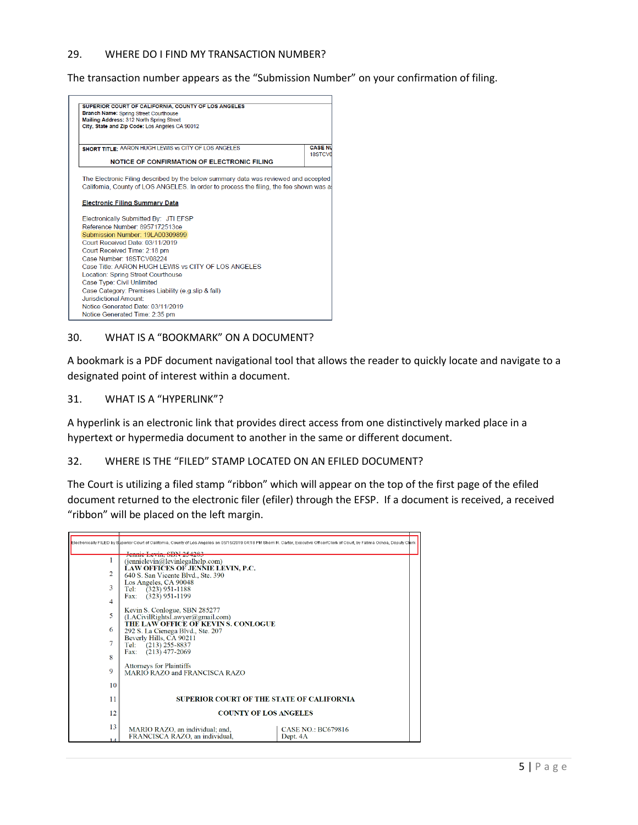#### 29. WHERE DO I FIND MY TRANSACTION NUMBER?

The transaction number appears as the "Submission Number" on your confirmation of filing.



#### 30. WHAT IS A "BOOKMARK" ON A DOCUMENT?

A bookmark is a PDF document navigational tool that allows the reader to quickly locate and navigate to a designated point of interest within a document.

#### 31. WHAT IS A "HYPERLINK"?

A hyperlink is an electronic link that provides direct access from one distinctively marked place in a hypertext or hypermedia document to another in the same or different document.

#### 32. WHERE IS THE "FILED" STAMP LOCATED ON AN EFILED DOCUMENT?

The Court is utilizing a filed stamp "ribbon" which will appear on the top of the first page of the efiled document returned to the electronic filer (efiler) through the EFSP. If a document is received, a received "ribbon" will be placed on the left margin.

|                |                                                                                                         | Electronically FILED by Superior Court of California, County of Los Angeles on 05/15/2019 04:18 PM Sherri R. Carter, Executive Officer/Clerk of Court, by Fatima Ochoa, Deputy Clerk |
|----------------|---------------------------------------------------------------------------------------------------------|--------------------------------------------------------------------------------------------------------------------------------------------------------------------------------------|
|                | <del>Jenme Levin, SBN 2542</del>                                                                        |                                                                                                                                                                                      |
| 1              | (jennielevin@levinlegalhelp.com)<br><b>LAW OFFICES OF JENNIE LEVIN, P.C.</b>                            |                                                                                                                                                                                      |
| $\overline{c}$ | 640 S. San Vicente Blvd., Ste. 390                                                                      |                                                                                                                                                                                      |
| 3              | Los Angeles, CA 90048<br>Tel: $(323)$ 951-1188                                                          |                                                                                                                                                                                      |
| 4              | Fax: (323) 951-1199                                                                                     |                                                                                                                                                                                      |
| 5              | Kevin S. Conlogue, SBN 285277<br>(LACivilkightsLawver@gmail.com)<br>THE LAW OFFICE OF KEVIN S. CONLOGUE |                                                                                                                                                                                      |
| 6              | 292 S. La Cienega Blvd., Ste. 207                                                                       |                                                                                                                                                                                      |
| 7              | Beverly Hills, CA 90211<br>Tel: (213) 255-8837<br>Fax: (213) 477-2069                                   |                                                                                                                                                                                      |
| 8              |                                                                                                         |                                                                                                                                                                                      |
| 9              | Attorneys for Plaintiffs<br>MARIO RAZO and FRANCISCA RAZO                                               |                                                                                                                                                                                      |
| 10             |                                                                                                         |                                                                                                                                                                                      |
| 11             | <b>SUPERIOR COURT OF THE STATE OF CALIFORNIA</b>                                                        |                                                                                                                                                                                      |
| 12             | <b>COUNTY OF LOS ANGELES</b>                                                                            |                                                                                                                                                                                      |
| 13             | MARIO RAZO, an individual; and,<br>FRANCISCA RAZO, an individual,                                       | <b>CASE NO.: BC679816</b><br>Dept. 4A                                                                                                                                                |
|                |                                                                                                         |                                                                                                                                                                                      |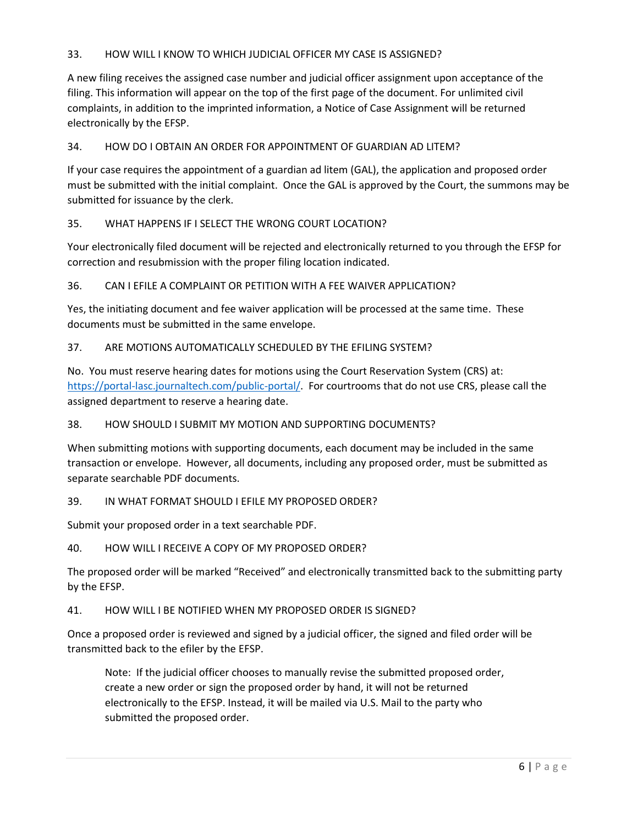### 33. HOW WILL I KNOW TO WHICH JUDICIAL OFFICER MY CASE IS ASSIGNED?

A new filing receives the assigned case number and judicial officer assignment upon acceptance of the filing. This information will appear on the top of the first page of the document. For unlimited civil complaints, in addition to the imprinted information, a Notice of Case Assignment will be returned electronically by the EFSP.

#### 34. HOW DO I OBTAIN AN ORDER FOR APPOINTMENT OF GUARDIAN AD LITEM?

If your case requires the appointment of a guardian ad litem (GAL), the application and proposed order must be submitted with the initial complaint. Once the GAL is approved by the Court, the summons may be submitted for issuance by the clerk.

### 35. WHAT HAPPENS IF I SELECT THE WRONG COURT LOCATION?

Your electronically filed document will be rejected and electronically returned to you through the EFSP for correction and resubmission with the proper filing location indicated.

#### 36. CAN I EFILE A COMPLAINT OR PETITION WITH A FEE WAIVER APPLICATION?

Yes, the initiating document and fee waiver application will be processed at the same time. These documents must be submitted in the same envelope.

#### 37. ARE MOTIONS AUTOMATICALLY SCHEDULED BY THE EFILING SYSTEM?

No. You must reserve hearing dates for motions using the Court Reservation System (CRS) at: [https://portal-lasc.journaltech.com/public-portal/.](https://portal-lasc.journaltech.com/public-portal/) For courtrooms that do not use CRS, please call the assigned department to reserve a hearing date.

#### 38. HOW SHOULD I SUBMIT MY MOTION AND SUPPORTING DOCUMENTS?

When submitting motions with supporting documents, each document may be included in the same transaction or envelope. However, all documents, including any proposed order, must be submitted as separate searchable PDF documents.

#### 39. IN WHAT FORMAT SHOULD I EFILE MY PROPOSED ORDER?

Submit your proposed order in a text searchable PDF.

40. HOW WILL I RECEIVE A COPY OF MY PROPOSED ORDER?

The proposed order will be marked "Received" and electronically transmitted back to the submitting party by the EFSP.

41. HOW WILL I BE NOTIFIED WHEN MY PROPOSED ORDER IS SIGNED?

Once a proposed order is reviewed and signed by a judicial officer, the signed and filed order will be transmitted back to the efiler by the EFSP.

Note: If the judicial officer chooses to manually revise the submitted proposed order, create a new order or sign the proposed order by hand, it will not be returned electronically to the EFSP. Instead, it will be mailed via U.S. Mail to the party who submitted the proposed order.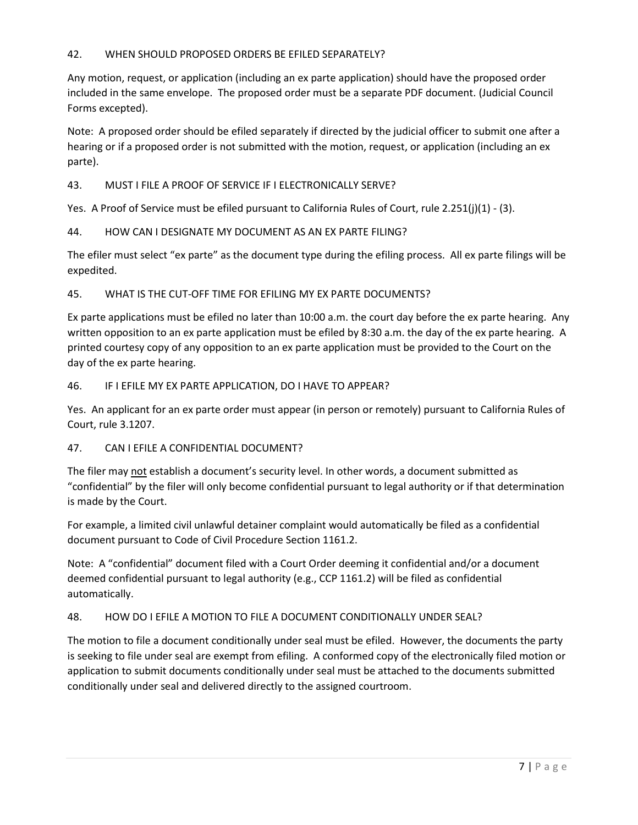### 42. WHEN SHOULD PROPOSED ORDERS BE EFILED SEPARATELY?

Any motion, request, or application (including an ex parte application) should have the proposed order included in the same envelope. The proposed order must be a separate PDF document. (Judicial Council Forms excepted).

Note: A proposed order should be efiled separately if directed by the judicial officer to submit one after a hearing or if a proposed order is not submitted with the motion, request, or application (including an ex parte).

43. MUST I FILE A PROOF OF SERVICE IF I ELECTRONICALLY SERVE?

Yes. A Proof of Service must be efiled pursuant to California Rules of Court, rule 2.251(j)(1) - (3).

### 44. HOW CAN I DESIGNATE MY DOCUMENT AS AN EX PARTE FILING?

The efiler must select "ex parte" as the document type during the efiling process. All ex parte filings will be expedited.

45. WHAT IS THE CUT-OFF TIME FOR EFILING MY EX PARTE DOCUMENTS?

Ex parte applications must be efiled no later than 10:00 a.m. the court day before the ex parte hearing. Any written opposition to an ex parte application must be efiled by 8:30 a.m. the day of the ex parte hearing. A printed courtesy copy of any opposition to an ex parte application must be provided to the Court on the day of the ex parte hearing.

#### 46. IF I EFILE MY EX PARTE APPLICATION, DO I HAVE TO APPEAR?

Yes. An applicant for an ex parte order must appear (in person or remotely) pursuant to California Rules of Court, rule 3.1207.

#### 47. CAN I EFILE A CONFIDENTIAL DOCUMENT?

The filer may not establish a document's security level. In other words, a document submitted as "confidential" by the filer will only become confidential pursuant to legal authority or if that determination is made by the Court.

For example, a limited civil unlawful detainer complaint would automatically be filed as a confidential document pursuant to Code of Civil Procedure Section 1161.2.

Note: A "confidential" document filed with a Court Order deeming it confidential and/or a document deemed confidential pursuant to legal authority (e.g., CCP 1161.2) will be filed as confidential automatically.

#### 48. HOW DO I EFILE A MOTION TO FILE A DOCUMENT CONDITIONALLY UNDER SEAL?

The motion to file a document conditionally under seal must be efiled. However, the documents the party is seeking to file under seal are exempt from efiling. A conformed copy of the electronically filed motion or application to submit documents conditionally under seal must be attached to the documents submitted conditionally under seal and delivered directly to the assigned courtroom.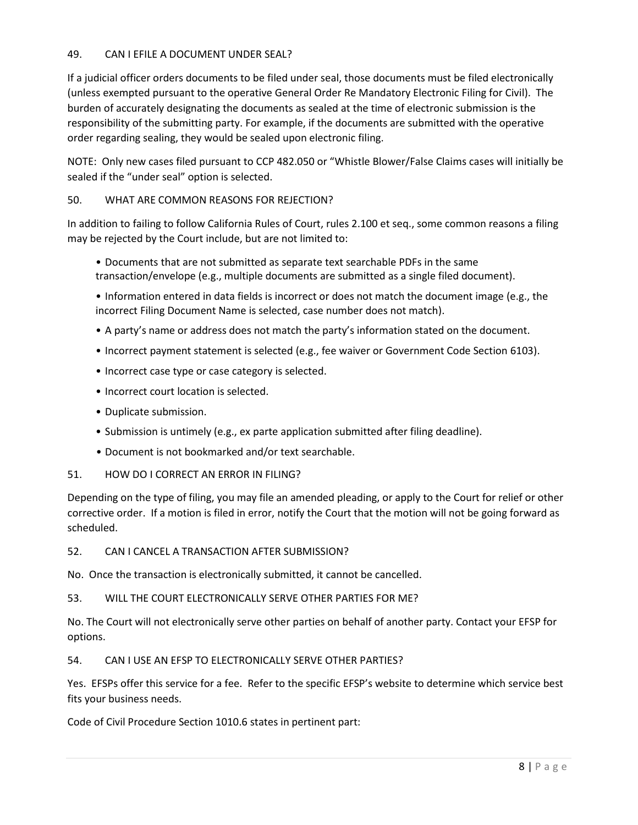### 49. CAN I EFILE A DOCUMENT UNDER SEAL?

If a judicial officer orders documents to be filed under seal, those documents must be filed electronically (unless exempted pursuant to the operative General Order Re Mandatory Electronic Filing for Civil). The burden of accurately designating the documents as sealed at the time of electronic submission is the responsibility of the submitting party. For example, if the documents are submitted with the operative order regarding sealing, they would be sealed upon electronic filing.

NOTE: Only new cases filed pursuant to CCP 482.050 or "Whistle Blower/False Claims cases will initially be sealed if the "under seal" option is selected.

### 50. WHAT ARE COMMON REASONS FOR REJECTION?

In addition to failing to follow California Rules of Court, rules 2.100 et seq., some common reasons a filing may be rejected by the Court include, but are not limited to:

• Documents that are not submitted as separate text searchable PDFs in the same transaction/envelope (e.g., multiple documents are submitted as a single filed document).

• Information entered in data fields is incorrect or does not match the document image (e.g., the incorrect Filing Document Name is selected, case number does not match).

- A party's name or address does not match the party's information stated on the document.
- Incorrect payment statement is selected (e.g., fee waiver or Government Code Section 6103).
- Incorrect case type or case category is selected.
- Incorrect court location is selected.
- Duplicate submission.
- Submission is untimely (e.g., ex parte application submitted after filing deadline).
- Document is not bookmarked and/or text searchable.
- 51. HOW DO I CORRECT AN ERROR IN FILING?

Depending on the type of filing, you may file an amended pleading, or apply to the Court for relief or other corrective order. If a motion is filed in error, notify the Court that the motion will not be going forward as scheduled.

52. CAN I CANCEL A TRANSACTION AFTER SUBMISSION?

No. Once the transaction is electronically submitted, it cannot be cancelled.

53. WILL THE COURT ELECTRONICALLY SERVE OTHER PARTIES FOR ME?

No. The Court will not electronically serve other parties on behalf of another party. Contact your EFSP for options.

54. CAN I USE AN EFSP TO ELECTRONICALLY SERVE OTHER PARTIES?

Yes. EFSPs offer this service for a fee. Refer to the specific EFSP's website to determine which service best fits your business needs.

Code of Civil Procedure Section 1010.6 states in pertinent part: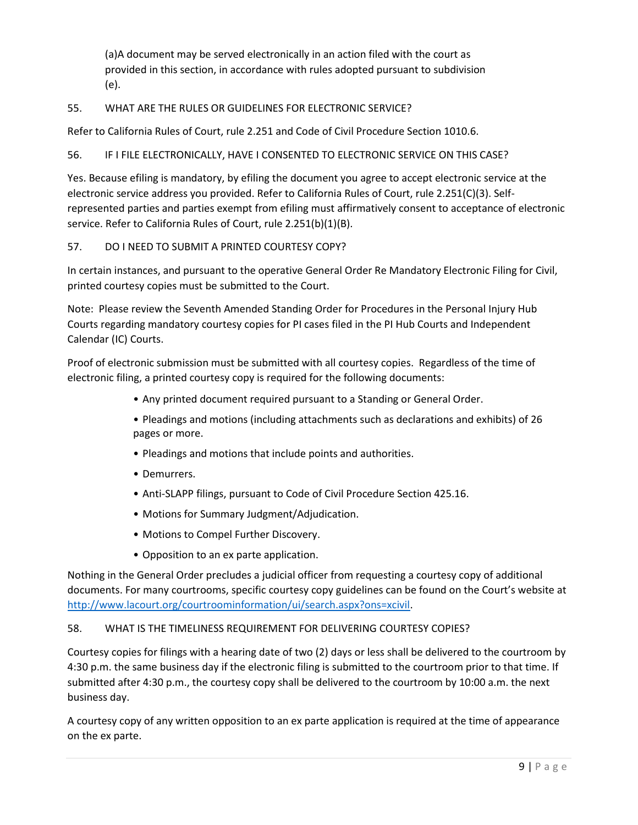(a)A document may be served electronically in an action filed with the court as provided in this section, in accordance with rules adopted pursuant to subdivision (e).

## 55. WHAT ARE THE RULES OR GUIDELINES FOR ELECTRONIC SERVICE?

Refer to California Rules of Court, rule 2.251 and Code of Civil Procedure Section 1010.6.

### 56. IF I FILE ELECTRONICALLY, HAVE I CONSENTED TO ELECTRONIC SERVICE ON THIS CASE?

Yes. Because efiling is mandatory, by efiling the document you agree to accept electronic service at the electronic service address you provided. Refer to California Rules of Court, rule 2.251(C)(3). Selfrepresented parties and parties exempt from efiling must affirmatively consent to acceptance of electronic service. Refer to California Rules of Court, rule 2.251(b)(1)(B).

### 57. DO I NEED TO SUBMIT A PRINTED COURTESY COPY?

In certain instances, and pursuant to the operative General Order Re Mandatory Electronic Filing for Civil, printed courtesy copies must be submitted to the Court.

Note: Please review the Seventh Amended Standing Order for Procedures in the Personal Injury Hub Courts regarding mandatory courtesy copies for PI cases filed in the PI Hub Courts and Independent Calendar (IC) Courts.

Proof of electronic submission must be submitted with all courtesy copies. Regardless of the time of electronic filing, a printed courtesy copy is required for the following documents:

- Any printed document required pursuant to a Standing or General Order.
- Pleadings and motions (including attachments such as declarations and exhibits) of 26 pages or more.
- Pleadings and motions that include points and authorities.
- Demurrers.
- Anti-SLAPP filings, pursuant to Code of Civil Procedure Section 425.16.
- Motions for Summary Judgment/Adjudication.
- Motions to Compel Further Discovery.
- Opposition to an ex parte application.

Nothing in the General Order precludes a judicial officer from requesting a courtesy copy of additional documents. For many courtrooms, specific courtesy copy guidelines can be found on the Court's website at [http://www.lacourt.org/courtroominformation/ui/search.aspx?ons=xcivil.](http://www.lacourt.org/courtroominformation/ui/search.aspx?ons=xcivil)

#### 58. WHAT IS THE TIMELINESS REQUIREMENT FOR DELIVERING COURTESY COPIES?

Courtesy copies for filings with a hearing date of two (2) days or less shall be delivered to the courtroom by 4:30 p.m. the same business day if the electronic filing is submitted to the courtroom prior to that time. If submitted after 4:30 p.m., the courtesy copy shall be delivered to the courtroom by 10:00 a.m. the next business day.

A courtesy copy of any written opposition to an ex parte application is required at the time of appearance on the ex parte.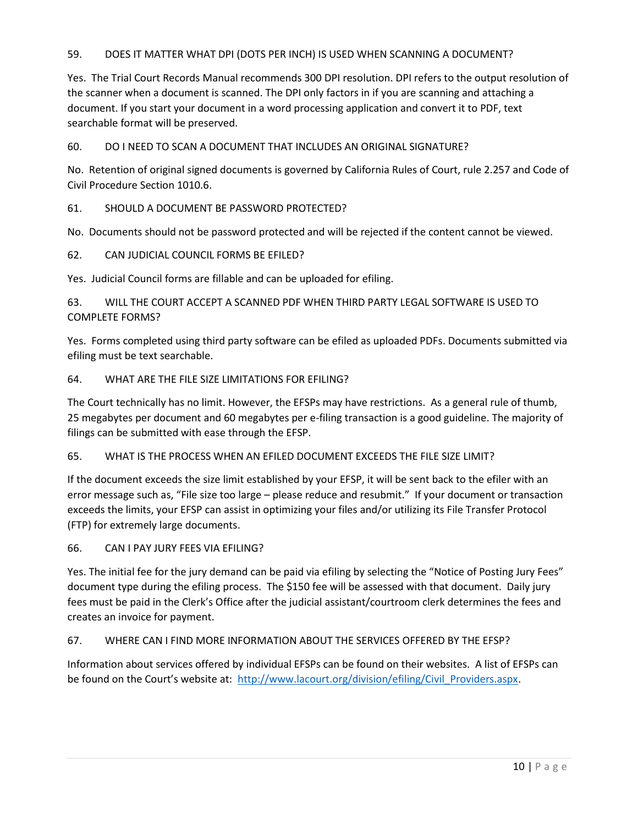## 59. DOES IT MATTER WHAT DPI (DOTS PER INCH) IS USED WHEN SCANNING A DOCUMENT?

Yes. The Trial Court Records Manual recommends 300 DPI resolution. DPI refers to the output resolution of the scanner when a document is scanned. The DPI only factors in if you are scanning and attaching a document. If you start your document in a word processing application and convert it to PDF, text searchable format will be preserved.

60. DO I NEED TO SCAN A DOCUMENT THAT INCLUDES AN ORIGINAL SIGNATURE?

No. Retention of original signed documents is governed by California Rules of Court, rule 2.257 and Code of Civil Procedure Section 1010.6.

61. SHOULD A DOCUMENT BE PASSWORD PROTECTED?

No. Documents should not be password protected and will be rejected if the content cannot be viewed.

62. CAN JUDICIAL COUNCIL FORMS BE EFILED?

Yes. Judicial Council forms are fillable and can be uploaded for efiling.

63. WILL THE COURT ACCEPT A SCANNED PDF WHEN THIRD PARTY LEGAL SOFTWARE IS USED TO COMPLETE FORMS?

Yes. Forms completed using third party software can be efiled as uploaded PDFs. Documents submitted via efiling must be text searchable.

#### 64. WHAT ARE THE FILE SIZE LIMITATIONS FOR EFILING?

The Court technically has no limit. However, the EFSPs may have restrictions. As a general rule of thumb, 25 megabytes per document and 60 megabytes per e-filing transaction is a good guideline. The majority of filings can be submitted with ease through the EFSP.

65. WHAT IS THE PROCESS WHEN AN EFILED DOCUMENT EXCEEDS THE FILE SIZE LIMIT?

If the document exceeds the size limit established by your EFSP, it will be sent back to the efiler with an error message such as, "File size too large – please reduce and resubmit." If your document or transaction exceeds the limits, your EFSP can assist in optimizing your files and/or utilizing its File Transfer Protocol (FTP) for extremely large documents.

66. CAN I PAY JURY FEES VIA EFILING?

Yes. The initial fee for the jury demand can be paid via efiling by selecting the "Notice of Posting Jury Fees" document type during the efiling process. The \$150 fee will be assessed with that document. Daily jury fees must be paid in the Clerk's Office after the judicial assistant/courtroom clerk determines the fees and creates an invoice for payment.

67. WHERE CAN I FIND MORE INFORMATION ABOUT THE SERVICES OFFERED BY THE EFSP?

Information about services offered by individual EFSPs can be found on their websites. A list of EFSPs can be found on the Court's website at: [http://www.lacourt.org/division/efiling/Civil\\_Providers.aspx.](http://www.lacourt.org/division/efiling/Civil_Providers.aspx)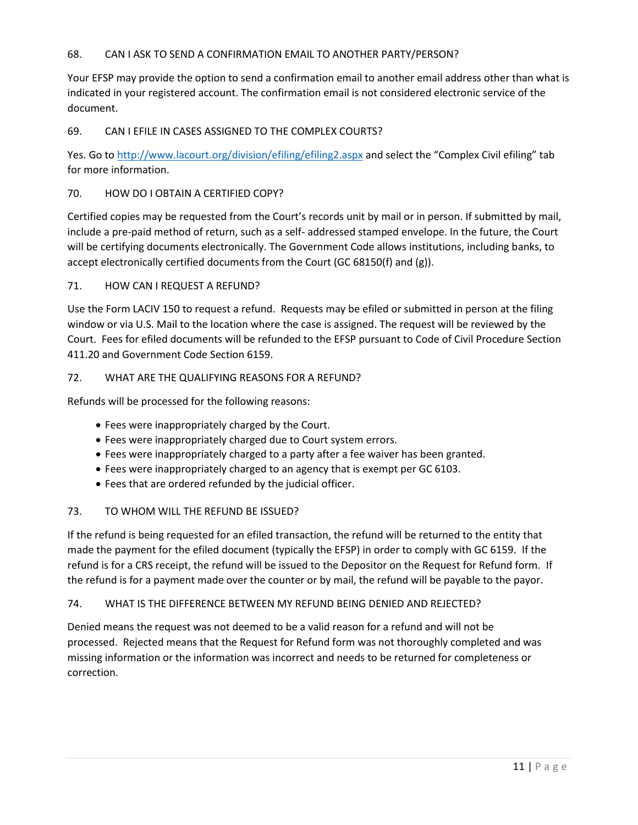### 68. CAN I ASK TO SEND A CONFIRMATION EMAIL TO ANOTHER PARTY/PERSON?

Your EFSP may provide the option to send a confirmation email to another email address other than what is indicated in your registered account. The confirmation email is not considered electronic service of the document.

### 69. CAN I EFILE IN CASES ASSIGNED TO THE COMPLEX COURTS?

Yes. Go to<http://www.lacourt.org/division/efiling/efiling2.aspx> and select the "Complex Civil efiling" tab for more information.

#### 70. HOW DO I OBTAIN A CERTIFIED COPY?

Certified copies may be requested from the Court's records unit by mail or in person. If submitted by mail, include a pre-paid method of return, such as a self- addressed stamped envelope. In the future, the Court will be certifying documents electronically. The Government Code allows institutions, including banks, to accept electronically certified documents from the Court (GC 68150(f) and (g)).

#### 71. HOW CAN I REQUEST A REFUND?

Use the Form LACIV 150 to request a refund. Requests may be efiled or submitted in person at the filing window or via U.S. Mail to the location where the case is assigned. The request will be reviewed by the Court. Fees for efiled documents will be refunded to the EFSP pursuant to Code of Civil Procedure Section 411.20 and Government Code Section 6159.

#### 72. WHAT ARE THE QUALIFYING REASONS FOR A REFUND?

Refunds will be processed for the following reasons:

- Fees were inappropriately charged by the Court.
- Fees were inappropriately charged due to Court system errors.
- Fees were inappropriately charged to a party after a fee waiver has been granted.
- Fees were inappropriately charged to an agency that is exempt per GC 6103.
- Fees that are ordered refunded by the judicial officer.

#### 73. TO WHOM WILL THE REFUND BE ISSUED?

If the refund is being requested for an efiled transaction, the refund will be returned to the entity that made the payment for the efiled document (typically the EFSP) in order to comply with GC 6159. If the refund is for a CRS receipt, the refund will be issued to the Depositor on the Request for Refund form. If the refund is for a payment made over the counter or by mail, the refund will be payable to the payor.

#### 74. WHAT IS THE DIFFERENCE BETWEEN MY REFUND BEING DENIED AND REJECTED?

Denied means the request was not deemed to be a valid reason for a refund and will not be processed. Rejected means that the Request for Refund form was not thoroughly completed and was missing information or the information was incorrect and needs to be returned for completeness or correction.